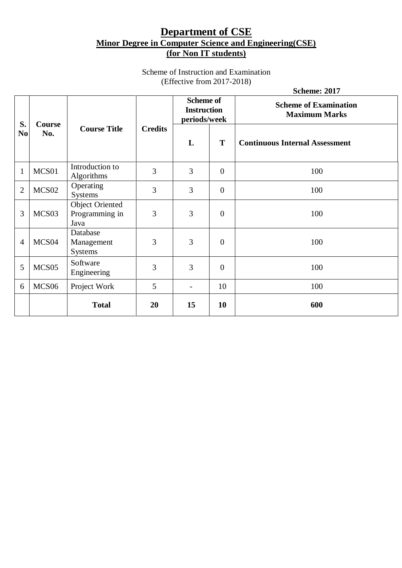# **Department of CSE Minor Degree in Computer Science and Engineering(CSE) (for Non IT students)**

Scheme of Instruction and Examination (Effective from 2017-2018)

|                |                      |                                                  |                |                                                        |                | <b>Scheme: 2017</b>                                  |
|----------------|----------------------|--------------------------------------------------|----------------|--------------------------------------------------------|----------------|------------------------------------------------------|
| S.             | <b>Course</b><br>No. | <b>Course Title</b>                              | <b>Credits</b> | <b>Scheme of</b><br><b>Instruction</b><br>periods/week |                | <b>Scheme of Examination</b><br><b>Maximum Marks</b> |
| N <sub>0</sub> |                      |                                                  |                | L                                                      | T              | <b>Continuous Internal Assessment</b>                |
| $\mathbf{1}$   | MCS01                | Introduction to<br>Algorithms                    | 3              | 3                                                      | $\theta$       | 100                                                  |
| $\overline{2}$ | MCS <sub>02</sub>    | Operating<br>Systems                             | 3              | 3                                                      | $\theta$       | 100                                                  |
| 3              | MCS <sub>03</sub>    | <b>Object Oriented</b><br>Programming in<br>Java | 3              | 3                                                      | $\mathbf{0}$   | 100                                                  |
| $\overline{4}$ | MCS <sub>04</sub>    | Database<br>Management<br><b>Systems</b>         | 3              | 3                                                      | $\overline{0}$ | 100                                                  |
| 5              | MCS <sub>05</sub>    | Software<br>Engineering                          | 3              | 3                                                      | $\mathbf{0}$   | 100                                                  |
| 6              | MCS <sub>06</sub>    | Project Work                                     | 5              | $\qquad \qquad -$                                      | 10             | 100                                                  |
|                |                      | <b>Total</b>                                     | 20             | 15                                                     | 10             | 600                                                  |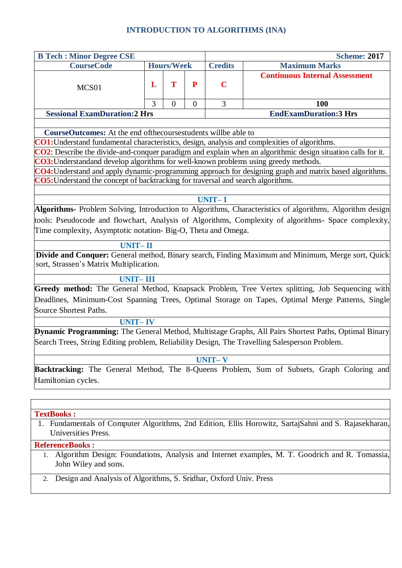### **INTRODUCTION TO ALGORITHMS (INA)**

| <b>B Tech : Minor Degree CSE</b>    |                   |  |  |                | <b>Scheme: 2017</b>                   |
|-------------------------------------|-------------------|--|--|----------------|---------------------------------------|
| <b>CourseCode</b>                   | <b>Hours/Week</b> |  |  | <b>Credits</b> | <b>Maximum Marks</b>                  |
| MCS <sub>01</sub>                   |                   |  |  | $\mathbf C$    | <b>Continuous Internal Assessment</b> |
|                                     |                   |  |  |                | 100                                   |
| <b>Sessional ExamDuration:2 Hrs</b> |                   |  |  |                | <b>EndExamDuration:3 Hrs</b>          |

**CourseOutcomes:** At the end ofthecoursestudents willbe able to

**CO1:**Understand fundamental characteristics, design, analysis and complexities of algorithms.

**CO2**: Describe the divide-and-conquer paradigm and explain when an algorithmic design situation calls for it. **CO3:**Understandand develop algorithms for well-known problems using greedy methods.

**CO4:**Understand and apply dynamic-programming approach for designing graph and matrix based algorithms. **CO5:**Understand the concept of backtracking for traversal and search algorithms.

#### **UNIT– I**

**Algorithms-** Problem Solving, Introduction to Algorithms, Characteristics of algorithms, Algorithm design tools: Pseudocode and flowchart, Analysis of Algorithms, Complexity of algorithms- Space complexity, Time complexity, Asymptotic notation- Big-O, Theta and Omega.

#### **UNIT– II**

**Divide and Conquer:** General method, Binary search, Finding Maximum and Minimum, Merge sort, Quick sort, Strassen's Matrix Multiplication.

#### **UNIT– III**

**Greedy method:** The General Method, Knapsack Problem, Tree Vertex splitting, Job Sequencing with Deadlines, Minimum-Cost Spanning Trees, Optimal Storage on Tapes, Optimal Merge Patterns, Single Source Shortest Paths.

#### **UNIT– IV**

**Dynamic Programming:** The General Method, Multistage Graphs, All Pairs Shortest Paths, Optimal Binary Search Trees, String Editing problem, Reliability Design, The Travelling Salesperson Problem.

### **UNIT– V**

**Backtracking:** The General Method, The 8-Queens Problem, Sum of Subsets, Graph Coloring and Hamiltonian cycles.

#### **TextBooks :**

1. Fundamentals of Computer Algorithms, 2nd Edition, Ellis Horowitz, SartajSahni and S. Rajasekharan, Universities Press.

#### 1. **ReferenceBooks :**

- 1. Algorithm Design: Foundations, Analysis and Internet examples, M. T. Goodrich and R. Tomassia, John Wiley and sons.
- 2. Design and Analysis of Algorithms, S. Sridhar, Oxford Univ. Press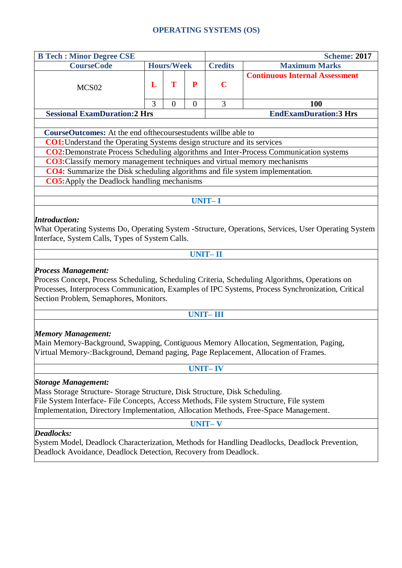# **OPERATING SYSTEMS (OS)**

| <b>B Tech : Minor Degree CSE</b>                                                                                                                                                                                                                                                                                                                                                                                                                        |   |                | <b>Scheme: 2017</b> |                                        |                                                                                        |  |  |  |  |
|---------------------------------------------------------------------------------------------------------------------------------------------------------------------------------------------------------------------------------------------------------------------------------------------------------------------------------------------------------------------------------------------------------------------------------------------------------|---|----------------|---------------------|----------------------------------------|----------------------------------------------------------------------------------------|--|--|--|--|
| <b>Hours/Week</b><br><b>CourseCode</b>                                                                                                                                                                                                                                                                                                                                                                                                                  |   |                |                     | <b>Credits</b><br><b>Maximum Marks</b> |                                                                                        |  |  |  |  |
|                                                                                                                                                                                                                                                                                                                                                                                                                                                         |   |                |                     |                                        | <b>Continuous Internal Assessment</b>                                                  |  |  |  |  |
| MCS <sub>02</sub>                                                                                                                                                                                                                                                                                                                                                                                                                                       |   | T              | P                   | $\mathbf C$                            |                                                                                        |  |  |  |  |
|                                                                                                                                                                                                                                                                                                                                                                                                                                                         |   |                |                     |                                        |                                                                                        |  |  |  |  |
|                                                                                                                                                                                                                                                                                                                                                                                                                                                         | 3 | $\overline{0}$ | $\overline{0}$      | 3                                      | 100                                                                                    |  |  |  |  |
| <b>Sessional ExamDuration:2 Hrs</b><br><b>EndExamDuration:3 Hrs</b>                                                                                                                                                                                                                                                                                                                                                                                     |   |                |                     |                                        |                                                                                        |  |  |  |  |
|                                                                                                                                                                                                                                                                                                                                                                                                                                                         |   |                |                     |                                        |                                                                                        |  |  |  |  |
| <b>CourseOutcomes:</b> At the end of the course students will be able to                                                                                                                                                                                                                                                                                                                                                                                |   |                |                     |                                        |                                                                                        |  |  |  |  |
| <b>CO1:</b> Understand the Operating Systems design structure and its services                                                                                                                                                                                                                                                                                                                                                                          |   |                |                     |                                        |                                                                                        |  |  |  |  |
|                                                                                                                                                                                                                                                                                                                                                                                                                                                         |   |                |                     |                                        | CO2: Demonstrate Process Scheduling algorithms and Inter-Process Communication systems |  |  |  |  |
| CO3: Classify memory management techniques and virtual memory mechanisms                                                                                                                                                                                                                                                                                                                                                                                |   |                |                     |                                        |                                                                                        |  |  |  |  |
| CO4: Summarize the Disk scheduling algorithms and file system implementation.                                                                                                                                                                                                                                                                                                                                                                           |   |                |                     |                                        |                                                                                        |  |  |  |  |
| <b>CO5:</b> Apply the Deadlock handling mechanisms                                                                                                                                                                                                                                                                                                                                                                                                      |   |                |                     |                                        |                                                                                        |  |  |  |  |
|                                                                                                                                                                                                                                                                                                                                                                                                                                                         |   |                |                     |                                        |                                                                                        |  |  |  |  |
|                                                                                                                                                                                                                                                                                                                                                                                                                                                         |   |                |                     | <b>UNIT-I</b>                          |                                                                                        |  |  |  |  |
| What Operating Systems Do, Operating System -Structure, Operations, Services, User Operating System<br>Interface, System Calls, Types of System Calls.<br><b>UNIT-II</b><br><b>Process Management:</b><br>Process Concept, Process Scheduling, Scheduling Criteria, Scheduling Algorithms, Operations on<br>Processes, Interprocess Communication, Examples of IPC Systems, Process Synchronization, Critical<br>Section Problem, Semaphores, Monitors. |   |                |                     |                                        |                                                                                        |  |  |  |  |
| <b>UNIT-III</b>                                                                                                                                                                                                                                                                                                                                                                                                                                         |   |                |                     |                                        |                                                                                        |  |  |  |  |
| <b>Memory Management:</b><br>Main Memory-Background, Swapping, Contiguous Memory Allocation, Segmentation, Paging,<br>Virtual Memory-:Background, Demand paging, Page Replacement, Allocation of Frames.<br><b>UNIT-IV</b>                                                                                                                                                                                                                              |   |                |                     |                                        |                                                                                        |  |  |  |  |
| <b>Storage Management:</b>                                                                                                                                                                                                                                                                                                                                                                                                                              |   |                |                     |                                        |                                                                                        |  |  |  |  |
| Mass Storage Structure-Storage Structure, Disk Structure, Disk Scheduling.<br>File System Interface- File Concepts, Access Methods, File system Structure, File system<br>Implementation, Directory Implementation, Allocation Methods, Free-Space Management.                                                                                                                                                                                          |   |                |                     |                                        |                                                                                        |  |  |  |  |
|                                                                                                                                                                                                                                                                                                                                                                                                                                                         |   |                |                     | <b>UNIT-V</b>                          |                                                                                        |  |  |  |  |
| <b>Deadlocks:</b><br>System Model, Deadlock Characterization, Methods for Handling Deadlocks, Deadlock Prevention,                                                                                                                                                                                                                                                                                                                                      |   |                |                     |                                        |                                                                                        |  |  |  |  |

Deadlock Avoidance, Deadlock Detection, Recovery from Deadlock.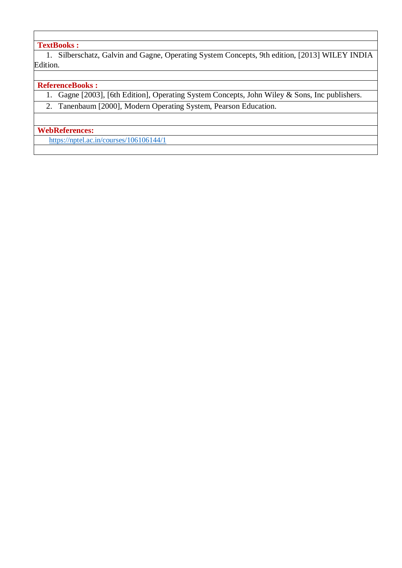# **TextBooks :**

1. Silberschatz, Galvin and Gagne, Operating System Concepts, 9th edition, [2013] WILEY INDIA Edition.

### **ReferenceBooks :**

- 1. Gagne [2003], [6th Edition], Operating System Concepts, John Wiley & Sons, Inc publishers.
- 2. Tanenbaum [2000], Modern Operating System, Pearson Education.

### **WebReferences:**

<https://nptel.ac.in/courses/106106144/1>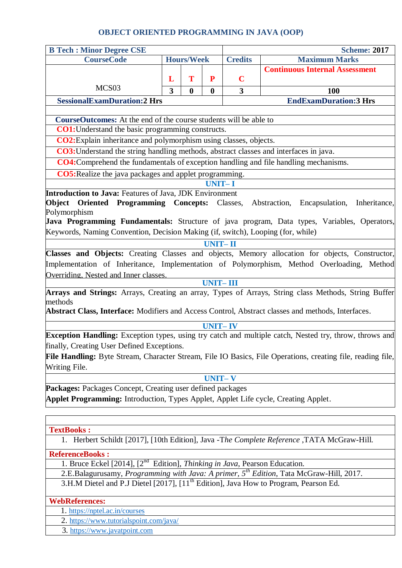# **OBJECT ORIENTED PROGRAMMING IN JAVA (OOP)**

| <b>B Tech : Minor Degree CSE</b>                                                                                                   |                   |          |                |                      | <b>Scheme: 2017</b>                                                                                 |  |  |  |  |
|------------------------------------------------------------------------------------------------------------------------------------|-------------------|----------|----------------|----------------------|-----------------------------------------------------------------------------------------------------|--|--|--|--|
| <b>CourseCode</b>                                                                                                                  | <b>Hours/Week</b> |          | <b>Credits</b> | <b>Maximum Marks</b> |                                                                                                     |  |  |  |  |
|                                                                                                                                    |                   |          |                |                      | <b>Continuous Internal Assessment</b>                                                               |  |  |  |  |
| MCS <sub>03</sub>                                                                                                                  | L                 | T        | P              | $\mathbf C$          |                                                                                                     |  |  |  |  |
|                                                                                                                                    | 3                 | $\bf{0}$ | $\bf{0}$       | $\mathbf{3}$         | 100                                                                                                 |  |  |  |  |
| <b>SessionalExamDuration:2 Hrs</b>                                                                                                 |                   |          |                |                      | <b>EndExamDuration:3 Hrs</b>                                                                        |  |  |  |  |
| <b>CourseOutcomes:</b> At the end of the course students will be able to                                                           |                   |          |                |                      |                                                                                                     |  |  |  |  |
| <b>CO1:</b> Understand the basic programming constructs.                                                                           |                   |          |                |                      |                                                                                                     |  |  |  |  |
| CO2: Explain inheritance and polymorphism using classes, objects.                                                                  |                   |          |                |                      |                                                                                                     |  |  |  |  |
| CO3: Understand the string handling methods, abstract classes and interfaces in java.                                              |                   |          |                |                      |                                                                                                     |  |  |  |  |
| CO4: Comprehend the fundamentals of exception handling and file handling mechanisms.                                               |                   |          |                |                      |                                                                                                     |  |  |  |  |
| <b>CO5:</b> Realize the java packages and applet programming.                                                                      |                   |          |                |                      |                                                                                                     |  |  |  |  |
|                                                                                                                                    |                   |          | <b>UNIT-I</b>  |                      |                                                                                                     |  |  |  |  |
| Introduction to Java: Features of Java, JDK Environment                                                                            |                   |          |                |                      |                                                                                                     |  |  |  |  |
| <b>Object Oriented Programming Concepts:</b> Classes, Abstraction,                                                                 |                   |          |                |                      | Encapsulation,<br>Inheritance,                                                                      |  |  |  |  |
| Polymorphism                                                                                                                       |                   |          |                |                      |                                                                                                     |  |  |  |  |
| Keywords, Naming Convention, Decision Making (if, switch), Looping (for, while)                                                    |                   |          |                |                      | Java Programming Fundamentals: Structure of java program, Data types, Variables, Operators,         |  |  |  |  |
|                                                                                                                                    |                   |          |                |                      |                                                                                                     |  |  |  |  |
| <b>UNIT-II</b>                                                                                                                     |                   |          |                |                      |                                                                                                     |  |  |  |  |
| Classes and Objects: Creating Classes and objects, Memory allocation for objects, Constructor,                                     |                   |          |                |                      |                                                                                                     |  |  |  |  |
| Implementation of Inheritance, Implementation of Polymorphism, Method Overloading, Method<br>Overriding, Nested and Inner classes. |                   |          |                |                      |                                                                                                     |  |  |  |  |
| <b>UNIT-III</b>                                                                                                                    |                   |          |                |                      |                                                                                                     |  |  |  |  |
|                                                                                                                                    |                   |          |                |                      | Arrays and Strings: Arrays, Creating an array, Types of Arrays, String class Methods, String Buffer |  |  |  |  |
| methods                                                                                                                            |                   |          |                |                      |                                                                                                     |  |  |  |  |
| Abstract Class, Interface: Modifiers and Access Control, Abstract classes and methods, Interfaces.                                 |                   |          |                |                      |                                                                                                     |  |  |  |  |
|                                                                                                                                    |                   |          | <b>UNIT-IV</b> |                      |                                                                                                     |  |  |  |  |
| Exception Handling: Exception types, using try catch and multiple catch, Nested try, throw, throws and                             |                   |          |                |                      |                                                                                                     |  |  |  |  |
| finally, Creating User Defined Exceptions.                                                                                         |                   |          |                |                      |                                                                                                     |  |  |  |  |
| File Handling: Byte Stream, Character Stream, File IO Basics, File Operations, creating file, reading file,                        |                   |          |                |                      |                                                                                                     |  |  |  |  |
| Writing File.                                                                                                                      |                   |          |                |                      |                                                                                                     |  |  |  |  |
| <b>UNIT-V</b>                                                                                                                      |                   |          |                |                      |                                                                                                     |  |  |  |  |
| <b>Packages:</b> Packages Concept, Creating user defined packages                                                                  |                   |          |                |                      |                                                                                                     |  |  |  |  |
| Applet Programming: Introduction, Types Applet, Applet Life cycle, Creating Applet.                                                |                   |          |                |                      |                                                                                                     |  |  |  |  |
|                                                                                                                                    |                   |          |                |                      |                                                                                                     |  |  |  |  |
| <b>TextBooks:</b>                                                                                                                  |                   |          |                |                      |                                                                                                     |  |  |  |  |
| 1. Herbert Schildt [2017], [10th Edition], Java -The Complete Reference, TATA McGraw-Hill.                                         |                   |          |                |                      |                                                                                                     |  |  |  |  |
| <b>ReferenceBooks:</b>                                                                                                             |                   |          |                |                      |                                                                                                     |  |  |  |  |
| 1. Bruce Eckel [2014], $[2^{nd}$ Edition], Thinking in Java, Pearson Education.                                                    |                   |          |                |                      |                                                                                                     |  |  |  |  |
| 2.E.Balagurusamy, Programming with Java: A primer, 5 <sup>th</sup> Edition, Tata McGraw-Hill, 2017.                                |                   |          |                |                      |                                                                                                     |  |  |  |  |
| 3.H.M Dietel and P.J Dietel [2017], [11 <sup>th</sup> Edition], Java How to Program, Pearson Ed.                                   |                   |          |                |                      |                                                                                                     |  |  |  |  |

**WebReferences:**

1. <https://nptel.ac.in/courses>

2. https://www.tutorialspoint.com/java/

3. [https://www.javatpoint.com](https://www.javatpoint.com/)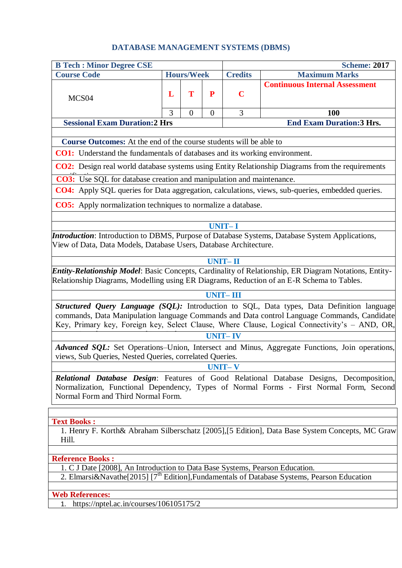# **DATABASE MANAGEMENT SYSTEMS (DBMS)**

| <b>B Tech : Minor Degree CSE</b>                                                                                                                                                                                                                                                           |   |                |                |                                        | <b>Scheme: 2017</b>                                                                                     |  |  |  |
|--------------------------------------------------------------------------------------------------------------------------------------------------------------------------------------------------------------------------------------------------------------------------------------------|---|----------------|----------------|----------------------------------------|---------------------------------------------------------------------------------------------------------|--|--|--|
| <b>Course Code</b><br><b>Hours/Week</b>                                                                                                                                                                                                                                                    |   |                |                | <b>Credits</b><br><b>Maximum Marks</b> |                                                                                                         |  |  |  |
| MCS <sub>04</sub>                                                                                                                                                                                                                                                                          | L | T              | $\mathbf P$    | $\mathbf C$                            | <b>Continuous Internal Assessment</b>                                                                   |  |  |  |
|                                                                                                                                                                                                                                                                                            | 3 | $\overline{0}$ | $\overline{0}$ | 3                                      | 100                                                                                                     |  |  |  |
| <b>Sessional Exam Duration:2 Hrs</b>                                                                                                                                                                                                                                                       |   |                |                |                                        | <b>End Exam Duration:3 Hrs.</b>                                                                         |  |  |  |
| <b>Course Outcomes:</b> At the end of the course students will be able to                                                                                                                                                                                                                  |   |                |                |                                        |                                                                                                         |  |  |  |
| <b>CO1:</b> Understand the fundamentals of databases and its working environment.                                                                                                                                                                                                          |   |                |                |                                        |                                                                                                         |  |  |  |
| <b>CO2:</b> Design real world database systems using Entity Relationship Diagrams from the requirements                                                                                                                                                                                    |   |                |                |                                        |                                                                                                         |  |  |  |
| <b>CO3:</b> Use SQL for database creation and manipulation and maintenance.                                                                                                                                                                                                                |   |                |                |                                        |                                                                                                         |  |  |  |
|                                                                                                                                                                                                                                                                                            |   |                |                |                                        | <b>CO4:</b> Apply SQL queries for Data aggregation, calculations, views, sub-queries, embedded queries. |  |  |  |
| <b>CO5:</b> Apply normalization techniques to normalize a database.                                                                                                                                                                                                                        |   |                |                |                                        |                                                                                                         |  |  |  |
|                                                                                                                                                                                                                                                                                            |   |                |                |                                        |                                                                                                         |  |  |  |
|                                                                                                                                                                                                                                                                                            |   |                |                | <b>UNIT-I</b>                          |                                                                                                         |  |  |  |
| View of Data, Data Models, Database Users, Database Architecture.                                                                                                                                                                                                                          |   |                |                |                                        | <i>Introduction</i> : Introduction to DBMS, Purpose of Database Systems, Database System Applications,  |  |  |  |
|                                                                                                                                                                                                                                                                                            |   |                |                |                                        |                                                                                                         |  |  |  |
| <b>UNIT-II</b>                                                                                                                                                                                                                                                                             |   |                |                |                                        |                                                                                                         |  |  |  |
| <b>Entity-Relationship Model:</b> Basic Concepts, Cardinality of Relationship, ER Diagram Notations, Entity-<br>Relationship Diagrams, Modelling using ER Diagrams, Reduction of an E-R Schema to Tables.                                                                                  |   |                |                |                                        |                                                                                                         |  |  |  |
| <b>UNIT-III</b>                                                                                                                                                                                                                                                                            |   |                |                |                                        |                                                                                                         |  |  |  |
| Structured Query Language (SQL): Introduction to SQL, Data types, Data Definition language<br>commands, Data Manipulation language Commands and Data control Language Commands, Candidate<br>Key, Primary key, Foreign key, Select Clause, Where Clause, Logical Connectivity's - AND, OR, |   |                |                |                                        |                                                                                                         |  |  |  |
|                                                                                                                                                                                                                                                                                            |   |                |                | <b>UNIT-IV</b>                         |                                                                                                         |  |  |  |
| Advanced SQL: Set Operations–Union, Intersect and Minus, Aggregate Functions, Join operations,<br>views, Sub Queries, Nested Queries, correlated Queries.                                                                                                                                  |   |                |                |                                        |                                                                                                         |  |  |  |
| <b>UNIT-V</b>                                                                                                                                                                                                                                                                              |   |                |                |                                        |                                                                                                         |  |  |  |
| <b>Relational Database Design:</b> Features of Good Relational Database Designs, Decomposition,<br>Normalization, Functional Dependency, Types of Normal Forms - First Normal Form, Second<br>Normal Form and Third Normal Form.                                                           |   |                |                |                                        |                                                                                                         |  |  |  |
|                                                                                                                                                                                                                                                                                            |   |                |                |                                        |                                                                                                         |  |  |  |
| <b>Text Books:</b><br>1. Henry F. Korth& Abraham Silberschatz [2005], [5 Edition], Data Base System Concepts, MC Graw<br>Hill.                                                                                                                                                             |   |                |                |                                        |                                                                                                         |  |  |  |
| <b>Reference Books:</b>                                                                                                                                                                                                                                                                    |   |                |                |                                        |                                                                                                         |  |  |  |
| 1. C J Date [2008], An Introduction to Data Base Systems, Pearson Education.                                                                                                                                                                                                               |   |                |                |                                        |                                                                                                         |  |  |  |
| 2. Elmarsi&Navathe[2015] [7 <sup>th</sup> Edition],Fundamentals of Database Systems, Pearson Education                                                                                                                                                                                     |   |                |                |                                        |                                                                                                         |  |  |  |
|                                                                                                                                                                                                                                                                                            |   |                |                |                                        |                                                                                                         |  |  |  |

#### **Web References:**

1. https://nptel.ac.in/courses/106105175/2